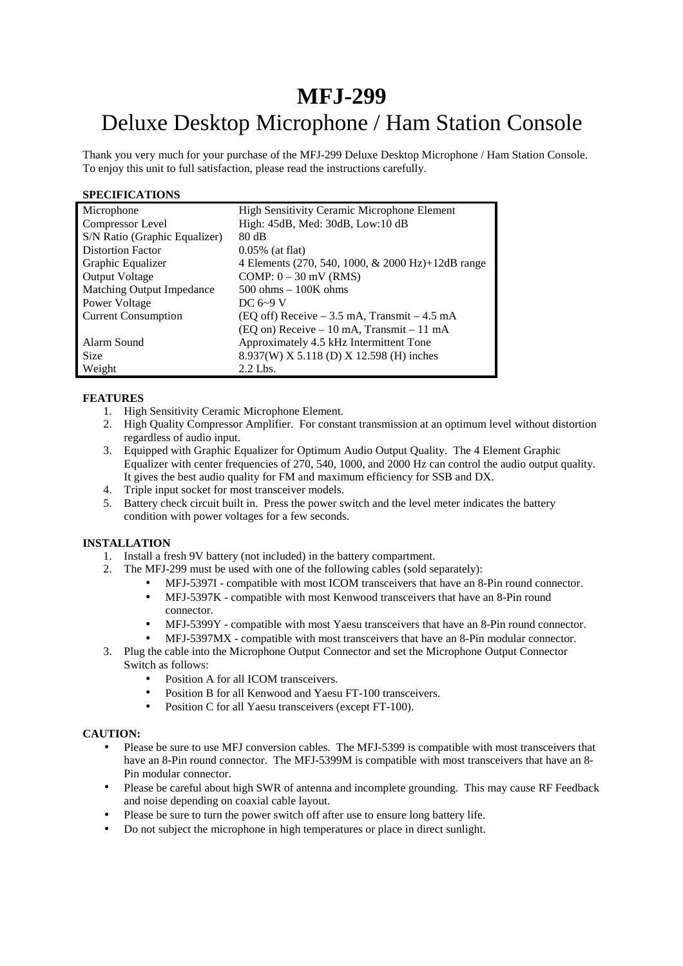# **MFJ-299**  Deluxe Desktop Microphone / Ham Station Console

Thank you very much for your purchase of the MFJ-299 Deluxe Desktop Microphone / Ham Station Console. To enjoy this unit to full satisfaction, please read the instructions carefully.

#### **SPECIFICATIONS**

| Microphone                    | <b>High Sensitivity Ceramic Microphone Element</b>       |  |
|-------------------------------|----------------------------------------------------------|--|
| Compressor Level              | High: 45dB, Med: 30dB, Low:10 dB                         |  |
| S/N Ratio (Graphic Equalizer) | 80 dB                                                    |  |
| <b>Distortion Factor</b>      | $0.05\%$ (at flat)                                       |  |
| Graphic Equalizer             | 4 Elements (270, 540, 1000, & 2000 Hz)+12dB range        |  |
| <b>Output Voltage</b>         | COMP: $0 - 30$ mV (RMS)                                  |  |
| Matching Output Impedance     | $500 \text{ ohms} - 100 \text{K} \text{ ohms}$           |  |
| Power Voltage                 | DC $6-9$ V                                               |  |
| <b>Current Consumption</b>    | $(EQ \text{ off})$ Receive $-3.5$ mA, Transmit $-4.5$ mA |  |
|                               | $(EQ \text{ on})$ Receive – 10 mA, Transmit – 11 mA      |  |
| Alarm Sound                   | Approximately 4.5 kHz Intermittent Tone                  |  |
| <b>Size</b>                   | 8.937(W) X 5.118 (D) X 12.598 (H) inches                 |  |
| Weight                        | $2.2$ Lbs.                                               |  |

## **FEATURES**

- 1. High Sensitivity Ceramic Microphone Element.
- 2. High Quality Compressor Amplifier. For constant transmission at an optimum level without distortion regardless of audio input.
- 3. Equipped with Graphic Equalizer for Optimum Audio Output Quality. The 4 Element Graphic Equalizer with center frequencies of 270, 540, 1000, and 2000 Hz can control the audio output quality. It gives the best audio quality for FM and maximum efficiency for SSB and DX.
- 4. Triple input socket for most transceiver models.
- 5. Battery check circuit built in. Press the power switch and the level meter indicates the battery condition with power voltages for a few seconds.

### **INSTALLATION**

- 1. Install a fresh 9V battery (not included) in the battery compartment.
- 2. The MFJ-299 must be used with one of the following cables (sold separately):
	- MFJ-5397I compatible with most ICOM transceivers that have an 8-Pin round connector.
	- MFJ-5397K compatible with most Kenwood transceivers that have an 8-Pin round connector.
	- MFJ-5399Y compatible with most Yaesu transceivers that have an 8-Pin round connector.
	- MFJ-5397MX compatible with most transceivers that have an 8-Pin modular connector.
- 3. Plug the cable into the Microphone Output Connector and set the Microphone Output Connector Switch as follows:
	- Position A for all ICOM transceivers.
	- Position B for all Kenwood and Yaesu FT-100 transceivers.
	- Position C for all Yaesu transceivers (except FT-100).

### **CAUTION:**

- Please be sure to use MFJ conversion cables. The MFJ-5399 is compatible with most transceivers that have an 8-Pin round connector. The MFJ-5399M is compatible with most transceivers that have an 8-Pin modular connector.
- Please be careful about high SWR of antenna and incomplete grounding. This may cause RF Feedback and noise depending on coaxial cable layout.
- Please be sure to turn the power switch off after use to ensure long battery life.
- Do not subject the microphone in high temperatures or place in direct sunlight.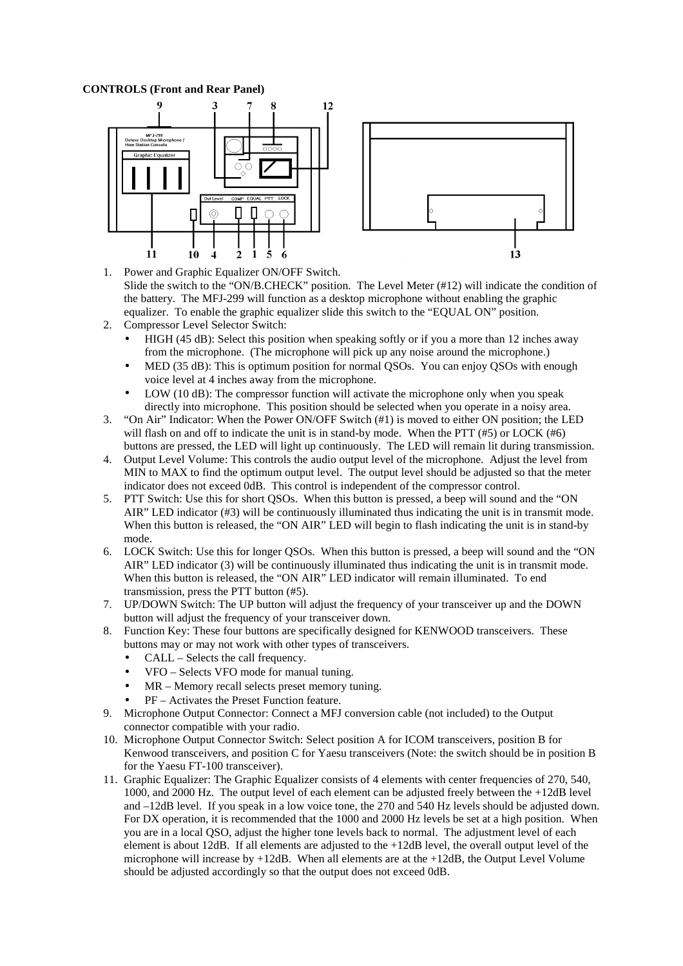#### **CONTROLS (Front and Rear Panel)**





- 1. Power and Graphic Equalizer ON/OFF Switch. Slide the switch to the "ON/B.CHECK" position. The Level Meter (#12) will indicate the condition of the battery. The MFJ-299 will function as a desktop microphone without enabling the graphic equalizer. To enable the graphic equalizer slide this switch to the "EQUAL ON" position.
- 2. Compressor Level Selector Switch:
	- HIGH (45 dB): Select this position when speaking softly or if you a more than 12 inches away from the microphone. (The microphone will pick up any noise around the microphone.)
	- MED (35 dB): This is optimum position for normal QSOs. You can enjoy QSOs with enough voice level at 4 inches away from the microphone.
	- LOW (10 dB): The compressor function will activate the microphone only when you speak directly into microphone. This position should be selected when you operate in a noisy area.
- 3. "On Air" Indicator: When the Power ON/OFF Switch (#1) is moved to either ON position; the LED will flash on and off to indicate the unit is in stand-by mode. When the PTT  $(\#5)$  or LOCK  $(\#6)$ buttons are pressed, the LED will light up continuously. The LED will remain lit during transmission.
- 4. Output Level Volume: This controls the audio output level of the microphone. Adjust the level from MIN to MAX to find the optimum output level. The output level should be adjusted so that the meter indicator does not exceed 0dB. This control is independent of the compressor control.
- 5. PTT Switch: Use this for short QSOs. When this button is pressed, a beep will sound and the "ON AIR" LED indicator (#3) will be continuously illuminated thus indicating the unit is in transmit mode. When this button is released, the "ON AIR" LED will begin to flash indicating the unit is in stand-by mode.
- 6. LOCK Switch: Use this for longer QSOs. When this button is pressed, a beep will sound and the "ON AIR" LED indicator (3) will be continuously illuminated thus indicating the unit is in transmit mode. When this button is released, the "ON AIR" LED indicator will remain illuminated. To end transmission, press the PTT button (#5).
- 7. UP/DOWN Switch: The UP button will adjust the frequency of your transceiver up and the DOWN button will adjust the frequency of your transceiver down.
- 8. Function Key: These four buttons are specifically designed for KENWOOD transceivers. These buttons may or may not work with other types of transceivers.
	- CALL Selects the call frequency.
	- VFO Selects VFO mode for manual tuning.
	- MR Memory recall selects preset memory tuning.
	- PF Activates the Preset Function feature.
- 9. Microphone Output Connector: Connect a MFJ conversion cable (not included) to the Output connector compatible with your radio.
- 10. Microphone Output Connector Switch: Select position A for ICOM transceivers, position B for Kenwood transceivers, and position C for Yaesu transceivers (Note: the switch should be in position B for the Yaesu FT-100 transceiver).
- 11. Graphic Equalizer: The Graphic Equalizer consists of 4 elements with center frequencies of 270, 540, 1000, and 2000 Hz. The output level of each element can be adjusted freely between the +12dB level and –12dB level. If you speak in a low voice tone, the 270 and 540 Hz levels should be adjusted down. For DX operation, it is recommended that the 1000 and 2000 Hz levels be set at a high position. When you are in a local QSO, adjust the higher tone levels back to normal. The adjustment level of each element is about 12dB. If all elements are adjusted to the +12dB level, the overall output level of the microphone will increase by +12dB. When all elements are at the +12dB, the Output Level Volume should be adjusted accordingly so that the output does not exceed 0dB.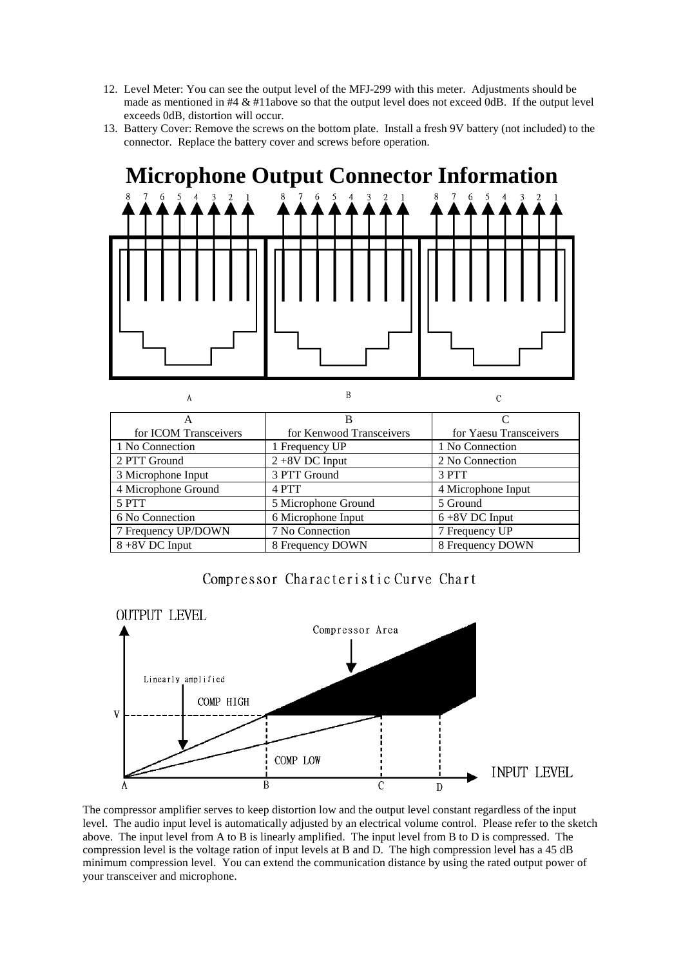- 12. Level Meter: You can see the output level of the MFJ-299 with this meter. Adjustments should be made as mentioned in  $#4 \& #11$ above so that the output level does not exceed  $0$ dB. If the output level exceeds 0dB, distortion will occur.
- 13. Battery Cover: Remove the screws on the bottom plate. Install a fresh 9V battery (not included) to the connector. Replace the battery cover and screws before operation.



| А                     |                          |                        |
|-----------------------|--------------------------|------------------------|
| А                     | в                        |                        |
| for ICOM Transceivers | for Kenwood Transceivers | for Yaesu Transceivers |
| 1 No Connection       | 1 Frequency UP           | 1 No Connection        |
| 2 PTT Ground          | $2+8V$ DC Input          | 2 No Connection        |
| 3 Microphone Input    | 3 PTT Ground             | 3 PTT                  |
| 4 Microphone Ground   | 4 PTT                    | 4 Microphone Input     |
| 5 PTT                 | 5 Microphone Ground      | 5 Ground               |
| 6 No Connection       | 6 Microphone Input       | $6+8V$ DC Input        |
| 7 Frequency UP/DOWN   | 7 No Connection          | 7 Frequency UP         |
| $8 + 8V$ DC Input     | 8 Frequency DOWN         | 8 Frequency DOWN       |

Compressor Characteristic Curve Chart



The compressor amplifier serves to keep distortion low and the output level constant regardless of the input level. The audio input level is automatically adjusted by an electrical volume control. Please refer to the sketch above. The input level from A to B is linearly amplified. The input level from B to D is compressed. The compression level is the voltage ration of input levels at B and D. The high compression level has a 45 dB minimum compression level. You can extend the communication distance by using the rated output power of your transceiver and microphone.